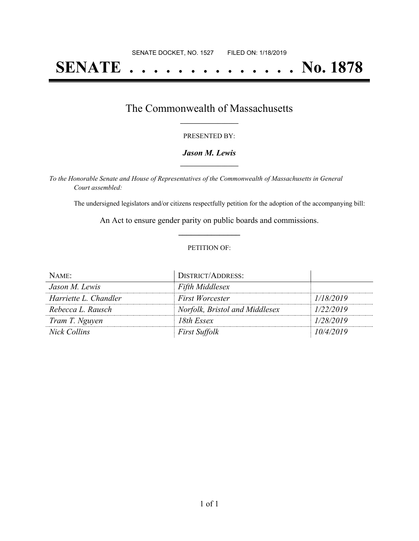# **SENATE . . . . . . . . . . . . . . No. 1878**

### The Commonwealth of Massachusetts **\_\_\_\_\_\_\_\_\_\_\_\_\_\_\_\_\_**

#### PRESENTED BY:

#### *Jason M. Lewis* **\_\_\_\_\_\_\_\_\_\_\_\_\_\_\_\_\_**

*To the Honorable Senate and House of Representatives of the Commonwealth of Massachusetts in General Court assembled:*

The undersigned legislators and/or citizens respectfully petition for the adoption of the accompanying bill:

An Act to ensure gender parity on public boards and commissions. **\_\_\_\_\_\_\_\_\_\_\_\_\_\_\_**

#### PETITION OF:

| NAME:                 | <b>DISTRICT/ADDRESS:</b>       |           |
|-----------------------|--------------------------------|-----------|
| Jason M. Lewis        | <b>Fifth Middlesex</b>         |           |
| Harriette L. Chandler | First Worcester                | 1/18/2019 |
| Rebecca L. Rausch     | Norfolk, Bristol and Middlesex | 1/22/2019 |
| Tram T. Nguyen        | 18th Essex                     | 1/28/2019 |
| Nick Collins          | <b>First Suffolk</b>           | 10/4/2019 |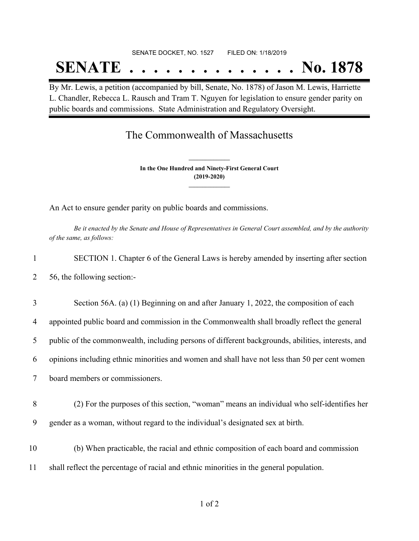## SENATE DOCKET, NO. 1527 FILED ON: 1/18/2019 **SENATE . . . . . . . . . . . . . . No. 1878**

By Mr. Lewis, a petition (accompanied by bill, Senate, No. 1878) of Jason M. Lewis, Harriette L. Chandler, Rebecca L. Rausch and Tram T. Nguyen for legislation to ensure gender parity on public boards and commissions. State Administration and Regulatory Oversight.

## The Commonwealth of Massachusetts

**In the One Hundred and Ninety-First General Court (2019-2020) \_\_\_\_\_\_\_\_\_\_\_\_\_\_\_**

**\_\_\_\_\_\_\_\_\_\_\_\_\_\_\_**

An Act to ensure gender parity on public boards and commissions.

Be it enacted by the Senate and House of Representatives in General Court assembled, and by the authority *of the same, as follows:*

- 1 SECTION 1. Chapter 6 of the General Laws is hereby amended by inserting after section 2 56, the following section:-
- 3 Section 56A. (a) (1) Beginning on and after January 1, 2022, the composition of each
- 4 appointed public board and commission in the Commonwealth shall broadly reflect the general
- 5 public of the commonwealth, including persons of different backgrounds, abilities, interests, and
- 6 opinions including ethnic minorities and women and shall have not less than 50 per cent women

7 board members or commissioners.

- 8 (2) For the purposes of this section, "woman" means an individual who self-identifies her 9 gender as a woman, without regard to the individual's designated sex at birth.
- 10 (b) When practicable, the racial and ethnic composition of each board and commission 11 shall reflect the percentage of racial and ethnic minorities in the general population.